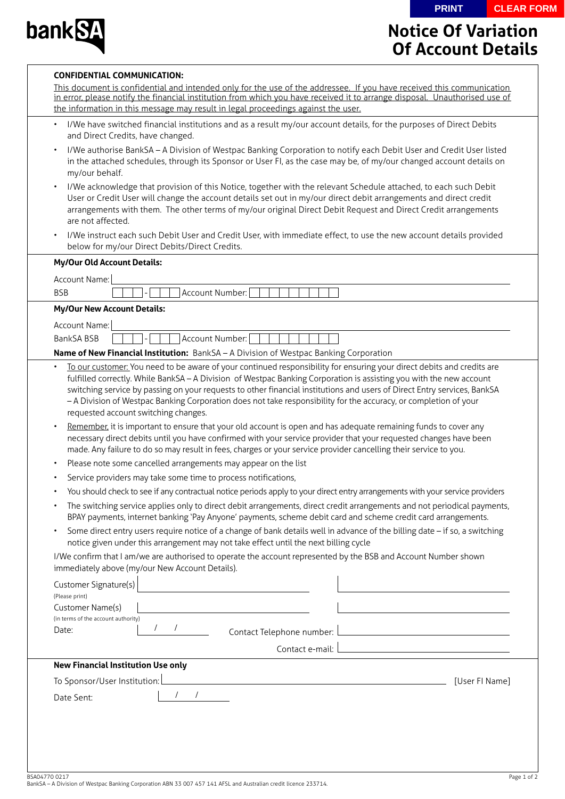**PRINT CLEAR FORM**



**CONFIDENTIAL COMMUNICATION:**

## **Notice Of Variation Of Account Details**

| I/We have switched financial institutions and as a result my/our account details, for the purposes of Direct Debits<br>$\bullet$<br>and Direct Credits, have changed.<br>I/We authorise BankSA - A Division of Westpac Banking Corporation to notify each Debit User and Credit User listed<br>in the attached schedules, through its Sponsor or User FI, as the case may be, of my/our changed account details on<br>my/our behalf.<br>I/We acknowledge that provision of this Notice, together with the relevant Schedule attached, to each such Debit<br>User or Credit User will change the account details set out in my/our direct debit arrangements and direct credit<br>arrangements with them. The other terms of my/our original Direct Debit Request and Direct Credit arrangements<br>are not affected.<br>I/We instruct each such Debit User and Credit User, with immediate effect, to use the new account details provided<br>below for my/our Direct Debits/Direct Credits.<br><b>My/Our Old Account Details:</b><br>Account Name:<br>Account Number:<br><b>BSB</b><br><b>My/Our New Account Details:</b><br>Account Name:<br>BankSA BSB<br>Account Number:<br>Name of New Financial Institution: BankSA - A Division of Westpac Banking Corporation<br>To our customer: You need to be aware of your continued responsibility for ensuring your direct debits and credits are<br>fulfilled correctly. While BankSA - A Division of Westpac Banking Corporation is assisting you with the new account<br>switching service by passing on your requests to other financial institutions and users of Direct Entry services, BankSA<br>- A Division of Westpac Banking Corporation does not take responsibility for the accuracy, or completion of your<br>requested account switching changes.<br>Remember, it is important to ensure that your old account is open and has adequate remaining funds to cover any<br>$\bullet$<br>necessary direct debits until you have confirmed with your service provider that your requested changes have been<br>made. Any failure to do so may result in fees, charges or your service provider cancelling their service to you.<br>Please note some cancelled arrangements may appear on the list<br>Service providers may take some time to process notifications,<br>You should check to see if any contractual notice periods apply to your direct entry arrangements with your service providers<br>The switching service applies only to direct debit arrangements, direct credit arrangements and not periodical payments,<br>BPAY payments, internet banking 'Pay Anyone' payments, scheme debit card and scheme credit card arrangements.<br>Some direct entry users require notice of a change of bank details well in advance of the billing date - if so, a switching<br>notice given under this arrangement may not take effect until the next billing cycle<br>I/We confirm that I am/we are authorised to operate the account represented by the BSB and Account Number shown<br>immediately above (my/our New Account Details).<br>Customer Signature(s)<br><u> 1980 - Jan Barbara Barbara, prima prima prima prima prima prima prima prima prima prima prima prima prima pri</u><br>(Please print)<br>Customer Name(s)<br>(in terms of the account authority)<br>Date:<br>Contact e-mail: Later and the contract e-mail: Later and the contract e-mail: Later and the contract of the contract of the contract of the contract of the contract of the contract of the contract of the contract of the co<br><b>New Financial Institution Use only</b><br>To Sponsor/User Institution: L |                                                                                                                       |
|-----------------------------------------------------------------------------------------------------------------------------------------------------------------------------------------------------------------------------------------------------------------------------------------------------------------------------------------------------------------------------------------------------------------------------------------------------------------------------------------------------------------------------------------------------------------------------------------------------------------------------------------------------------------------------------------------------------------------------------------------------------------------------------------------------------------------------------------------------------------------------------------------------------------------------------------------------------------------------------------------------------------------------------------------------------------------------------------------------------------------------------------------------------------------------------------------------------------------------------------------------------------------------------------------------------------------------------------------------------------------------------------------------------------------------------------------------------------------------------------------------------------------------------------------------------------------------------------------------------------------------------------------------------------------------------------------------------------------------------------------------------------------------------------------------------------------------------------------------------------------------------------------------------------------------------------------------------------------------------------------------------------------------------------------------------------------------------------------------------------------------------------------------------------------------------------------------------------------------------------------------------------------------------------------------------------------------------------------------------------------------------------------------------------------------------------------------------------------------------------------------------------------------------------------------------------------------------------------------------------------------------------------------------------------------------------------------------------------------------------------------------------------------------------------------------------------------------------------------------------------------------------------------------------------------------------------------------------------------------------------------------------------------------------------------------------------------------------------------------------------------------------------------------------------------------------------------------------------------------------------------------------------------------------------------------------------------------------------------------------------------------------------------------------------------------------------------------------------------------------------------------------------------------------------------------------------------------------------------------------------------------------------------------------|-----------------------------------------------------------------------------------------------------------------------|
|                                                                                                                                                                                                                                                                                                                                                                                                                                                                                                                                                                                                                                                                                                                                                                                                                                                                                                                                                                                                                                                                                                                                                                                                                                                                                                                                                                                                                                                                                                                                                                                                                                                                                                                                                                                                                                                                                                                                                                                                                                                                                                                                                                                                                                                                                                                                                                                                                                                                                                                                                                                                                                                                                                                                                                                                                                                                                                                                                                                                                                                                                                                                                                                                                                                                                                                                                                                                                                                                                                                                                                                                                                                                 |                                                                                                                       |
|                                                                                                                                                                                                                                                                                                                                                                                                                                                                                                                                                                                                                                                                                                                                                                                                                                                                                                                                                                                                                                                                                                                                                                                                                                                                                                                                                                                                                                                                                                                                                                                                                                                                                                                                                                                                                                                                                                                                                                                                                                                                                                                                                                                                                                                                                                                                                                                                                                                                                                                                                                                                                                                                                                                                                                                                                                                                                                                                                                                                                                                                                                                                                                                                                                                                                                                                                                                                                                                                                                                                                                                                                                                                 |                                                                                                                       |
|                                                                                                                                                                                                                                                                                                                                                                                                                                                                                                                                                                                                                                                                                                                                                                                                                                                                                                                                                                                                                                                                                                                                                                                                                                                                                                                                                                                                                                                                                                                                                                                                                                                                                                                                                                                                                                                                                                                                                                                                                                                                                                                                                                                                                                                                                                                                                                                                                                                                                                                                                                                                                                                                                                                                                                                                                                                                                                                                                                                                                                                                                                                                                                                                                                                                                                                                                                                                                                                                                                                                                                                                                                                                 |                                                                                                                       |
|                                                                                                                                                                                                                                                                                                                                                                                                                                                                                                                                                                                                                                                                                                                                                                                                                                                                                                                                                                                                                                                                                                                                                                                                                                                                                                                                                                                                                                                                                                                                                                                                                                                                                                                                                                                                                                                                                                                                                                                                                                                                                                                                                                                                                                                                                                                                                                                                                                                                                                                                                                                                                                                                                                                                                                                                                                                                                                                                                                                                                                                                                                                                                                                                                                                                                                                                                                                                                                                                                                                                                                                                                                                                 |                                                                                                                       |
|                                                                                                                                                                                                                                                                                                                                                                                                                                                                                                                                                                                                                                                                                                                                                                                                                                                                                                                                                                                                                                                                                                                                                                                                                                                                                                                                                                                                                                                                                                                                                                                                                                                                                                                                                                                                                                                                                                                                                                                                                                                                                                                                                                                                                                                                                                                                                                                                                                                                                                                                                                                                                                                                                                                                                                                                                                                                                                                                                                                                                                                                                                                                                                                                                                                                                                                                                                                                                                                                                                                                                                                                                                                                 |                                                                                                                       |
|                                                                                                                                                                                                                                                                                                                                                                                                                                                                                                                                                                                                                                                                                                                                                                                                                                                                                                                                                                                                                                                                                                                                                                                                                                                                                                                                                                                                                                                                                                                                                                                                                                                                                                                                                                                                                                                                                                                                                                                                                                                                                                                                                                                                                                                                                                                                                                                                                                                                                                                                                                                                                                                                                                                                                                                                                                                                                                                                                                                                                                                                                                                                                                                                                                                                                                                                                                                                                                                                                                                                                                                                                                                                 |                                                                                                                       |
|                                                                                                                                                                                                                                                                                                                                                                                                                                                                                                                                                                                                                                                                                                                                                                                                                                                                                                                                                                                                                                                                                                                                                                                                                                                                                                                                                                                                                                                                                                                                                                                                                                                                                                                                                                                                                                                                                                                                                                                                                                                                                                                                                                                                                                                                                                                                                                                                                                                                                                                                                                                                                                                                                                                                                                                                                                                                                                                                                                                                                                                                                                                                                                                                                                                                                                                                                                                                                                                                                                                                                                                                                                                                 |                                                                                                                       |
|                                                                                                                                                                                                                                                                                                                                                                                                                                                                                                                                                                                                                                                                                                                                                                                                                                                                                                                                                                                                                                                                                                                                                                                                                                                                                                                                                                                                                                                                                                                                                                                                                                                                                                                                                                                                                                                                                                                                                                                                                                                                                                                                                                                                                                                                                                                                                                                                                                                                                                                                                                                                                                                                                                                                                                                                                                                                                                                                                                                                                                                                                                                                                                                                                                                                                                                                                                                                                                                                                                                                                                                                                                                                 |                                                                                                                       |
|                                                                                                                                                                                                                                                                                                                                                                                                                                                                                                                                                                                                                                                                                                                                                                                                                                                                                                                                                                                                                                                                                                                                                                                                                                                                                                                                                                                                                                                                                                                                                                                                                                                                                                                                                                                                                                                                                                                                                                                                                                                                                                                                                                                                                                                                                                                                                                                                                                                                                                                                                                                                                                                                                                                                                                                                                                                                                                                                                                                                                                                                                                                                                                                                                                                                                                                                                                                                                                                                                                                                                                                                                                                                 |                                                                                                                       |
|                                                                                                                                                                                                                                                                                                                                                                                                                                                                                                                                                                                                                                                                                                                                                                                                                                                                                                                                                                                                                                                                                                                                                                                                                                                                                                                                                                                                                                                                                                                                                                                                                                                                                                                                                                                                                                                                                                                                                                                                                                                                                                                                                                                                                                                                                                                                                                                                                                                                                                                                                                                                                                                                                                                                                                                                                                                                                                                                                                                                                                                                                                                                                                                                                                                                                                                                                                                                                                                                                                                                                                                                                                                                 |                                                                                                                       |
|                                                                                                                                                                                                                                                                                                                                                                                                                                                                                                                                                                                                                                                                                                                                                                                                                                                                                                                                                                                                                                                                                                                                                                                                                                                                                                                                                                                                                                                                                                                                                                                                                                                                                                                                                                                                                                                                                                                                                                                                                                                                                                                                                                                                                                                                                                                                                                                                                                                                                                                                                                                                                                                                                                                                                                                                                                                                                                                                                                                                                                                                                                                                                                                                                                                                                                                                                                                                                                                                                                                                                                                                                                                                 |                                                                                                                       |
|                                                                                                                                                                                                                                                                                                                                                                                                                                                                                                                                                                                                                                                                                                                                                                                                                                                                                                                                                                                                                                                                                                                                                                                                                                                                                                                                                                                                                                                                                                                                                                                                                                                                                                                                                                                                                                                                                                                                                                                                                                                                                                                                                                                                                                                                                                                                                                                                                                                                                                                                                                                                                                                                                                                                                                                                                                                                                                                                                                                                                                                                                                                                                                                                                                                                                                                                                                                                                                                                                                                                                                                                                                                                 |                                                                                                                       |
|                                                                                                                                                                                                                                                                                                                                                                                                                                                                                                                                                                                                                                                                                                                                                                                                                                                                                                                                                                                                                                                                                                                                                                                                                                                                                                                                                                                                                                                                                                                                                                                                                                                                                                                                                                                                                                                                                                                                                                                                                                                                                                                                                                                                                                                                                                                                                                                                                                                                                                                                                                                                                                                                                                                                                                                                                                                                                                                                                                                                                                                                                                                                                                                                                                                                                                                                                                                                                                                                                                                                                                                                                                                                 |                                                                                                                       |
|                                                                                                                                                                                                                                                                                                                                                                                                                                                                                                                                                                                                                                                                                                                                                                                                                                                                                                                                                                                                                                                                                                                                                                                                                                                                                                                                                                                                                                                                                                                                                                                                                                                                                                                                                                                                                                                                                                                                                                                                                                                                                                                                                                                                                                                                                                                                                                                                                                                                                                                                                                                                                                                                                                                                                                                                                                                                                                                                                                                                                                                                                                                                                                                                                                                                                                                                                                                                                                                                                                                                                                                                                                                                 |                                                                                                                       |
|                                                                                                                                                                                                                                                                                                                                                                                                                                                                                                                                                                                                                                                                                                                                                                                                                                                                                                                                                                                                                                                                                                                                                                                                                                                                                                                                                                                                                                                                                                                                                                                                                                                                                                                                                                                                                                                                                                                                                                                                                                                                                                                                                                                                                                                                                                                                                                                                                                                                                                                                                                                                                                                                                                                                                                                                                                                                                                                                                                                                                                                                                                                                                                                                                                                                                                                                                                                                                                                                                                                                                                                                                                                                 |                                                                                                                       |
|                                                                                                                                                                                                                                                                                                                                                                                                                                                                                                                                                                                                                                                                                                                                                                                                                                                                                                                                                                                                                                                                                                                                                                                                                                                                                                                                                                                                                                                                                                                                                                                                                                                                                                                                                                                                                                                                                                                                                                                                                                                                                                                                                                                                                                                                                                                                                                                                                                                                                                                                                                                                                                                                                                                                                                                                                                                                                                                                                                                                                                                                                                                                                                                                                                                                                                                                                                                                                                                                                                                                                                                                                                                                 |                                                                                                                       |
|                                                                                                                                                                                                                                                                                                                                                                                                                                                                                                                                                                                                                                                                                                                                                                                                                                                                                                                                                                                                                                                                                                                                                                                                                                                                                                                                                                                                                                                                                                                                                                                                                                                                                                                                                                                                                                                                                                                                                                                                                                                                                                                                                                                                                                                                                                                                                                                                                                                                                                                                                                                                                                                                                                                                                                                                                                                                                                                                                                                                                                                                                                                                                                                                                                                                                                                                                                                                                                                                                                                                                                                                                                                                 |                                                                                                                       |
|                                                                                                                                                                                                                                                                                                                                                                                                                                                                                                                                                                                                                                                                                                                                                                                                                                                                                                                                                                                                                                                                                                                                                                                                                                                                                                                                                                                                                                                                                                                                                                                                                                                                                                                                                                                                                                                                                                                                                                                                                                                                                                                                                                                                                                                                                                                                                                                                                                                                                                                                                                                                                                                                                                                                                                                                                                                                                                                                                                                                                                                                                                                                                                                                                                                                                                                                                                                                                                                                                                                                                                                                                                                                 |                                                                                                                       |
|                                                                                                                                                                                                                                                                                                                                                                                                                                                                                                                                                                                                                                                                                                                                                                                                                                                                                                                                                                                                                                                                                                                                                                                                                                                                                                                                                                                                                                                                                                                                                                                                                                                                                                                                                                                                                                                                                                                                                                                                                                                                                                                                                                                                                                                                                                                                                                                                                                                                                                                                                                                                                                                                                                                                                                                                                                                                                                                                                                                                                                                                                                                                                                                                                                                                                                                                                                                                                                                                                                                                                                                                                                                                 | <u> 1980 - Johann Stoff, deutscher Stoff, der Stoff, der Stoff, der Stoff, der Stoff, der Stoff, der Stoff, der S</u> |
|                                                                                                                                                                                                                                                                                                                                                                                                                                                                                                                                                                                                                                                                                                                                                                                                                                                                                                                                                                                                                                                                                                                                                                                                                                                                                                                                                                                                                                                                                                                                                                                                                                                                                                                                                                                                                                                                                                                                                                                                                                                                                                                                                                                                                                                                                                                                                                                                                                                                                                                                                                                                                                                                                                                                                                                                                                                                                                                                                                                                                                                                                                                                                                                                                                                                                                                                                                                                                                                                                                                                                                                                                                                                 | <u> 1989 - John Stein, mars and de Brazilian (b. 1989)</u>                                                            |
|                                                                                                                                                                                                                                                                                                                                                                                                                                                                                                                                                                                                                                                                                                                                                                                                                                                                                                                                                                                                                                                                                                                                                                                                                                                                                                                                                                                                                                                                                                                                                                                                                                                                                                                                                                                                                                                                                                                                                                                                                                                                                                                                                                                                                                                                                                                                                                                                                                                                                                                                                                                                                                                                                                                                                                                                                                                                                                                                                                                                                                                                                                                                                                                                                                                                                                                                                                                                                                                                                                                                                                                                                                                                 |                                                                                                                       |
|                                                                                                                                                                                                                                                                                                                                                                                                                                                                                                                                                                                                                                                                                                                                                                                                                                                                                                                                                                                                                                                                                                                                                                                                                                                                                                                                                                                                                                                                                                                                                                                                                                                                                                                                                                                                                                                                                                                                                                                                                                                                                                                                                                                                                                                                                                                                                                                                                                                                                                                                                                                                                                                                                                                                                                                                                                                                                                                                                                                                                                                                                                                                                                                                                                                                                                                                                                                                                                                                                                                                                                                                                                                                 |                                                                                                                       |
|                                                                                                                                                                                                                                                                                                                                                                                                                                                                                                                                                                                                                                                                                                                                                                                                                                                                                                                                                                                                                                                                                                                                                                                                                                                                                                                                                                                                                                                                                                                                                                                                                                                                                                                                                                                                                                                                                                                                                                                                                                                                                                                                                                                                                                                                                                                                                                                                                                                                                                                                                                                                                                                                                                                                                                                                                                                                                                                                                                                                                                                                                                                                                                                                                                                                                                                                                                                                                                                                                                                                                                                                                                                                 |                                                                                                                       |
|                                                                                                                                                                                                                                                                                                                                                                                                                                                                                                                                                                                                                                                                                                                                                                                                                                                                                                                                                                                                                                                                                                                                                                                                                                                                                                                                                                                                                                                                                                                                                                                                                                                                                                                                                                                                                                                                                                                                                                                                                                                                                                                                                                                                                                                                                                                                                                                                                                                                                                                                                                                                                                                                                                                                                                                                                                                                                                                                                                                                                                                                                                                                                                                                                                                                                                                                                                                                                                                                                                                                                                                                                                                                 |                                                                                                                       |
|                                                                                                                                                                                                                                                                                                                                                                                                                                                                                                                                                                                                                                                                                                                                                                                                                                                                                                                                                                                                                                                                                                                                                                                                                                                                                                                                                                                                                                                                                                                                                                                                                                                                                                                                                                                                                                                                                                                                                                                                                                                                                                                                                                                                                                                                                                                                                                                                                                                                                                                                                                                                                                                                                                                                                                                                                                                                                                                                                                                                                                                                                                                                                                                                                                                                                                                                                                                                                                                                                                                                                                                                                                                                 |                                                                                                                       |
| $\frac{1}{2}$<br>Date Sent:                                                                                                                                                                                                                                                                                                                                                                                                                                                                                                                                                                                                                                                                                                                                                                                                                                                                                                                                                                                                                                                                                                                                                                                                                                                                                                                                                                                                                                                                                                                                                                                                                                                                                                                                                                                                                                                                                                                                                                                                                                                                                                                                                                                                                                                                                                                                                                                                                                                                                                                                                                                                                                                                                                                                                                                                                                                                                                                                                                                                                                                                                                                                                                                                                                                                                                                                                                                                                                                                                                                                                                                                                                     |                                                                                                                       |